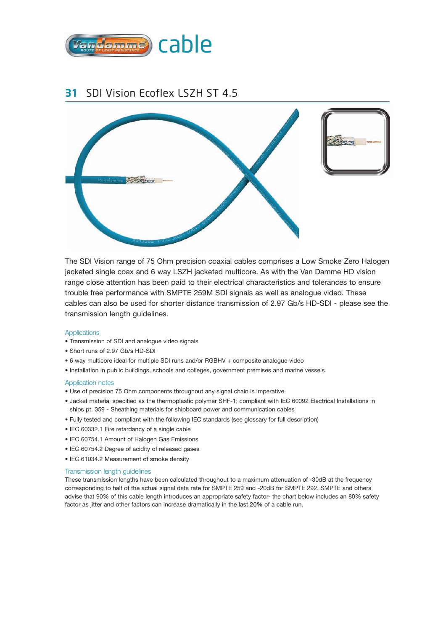

### **31** SDI Vision Ecoflex LSZH ST 4.5



The SDI Vision range of 75 Ohm precision coaxial cables comprises a Low Smoke Zero Halogen jacketed single coax and 6 way LSZH jacketed multicore. As with the Van Damme HD vision range close attention has been paid to their electrical characteristics and tolerances to ensure trouble free performance with SMPTE 259M SDI signals as well as analogue video. These cables can also be used for shorter distance transmission of 2.97 Gb/s HD-SDI - please see the transmission length guidelines.

#### **Applications**

- Transmission of SDI and analogue video signals
- Short runs of 2.97 Gb/s HD-SDI
- 6 way multicore ideal for multiple SDI runs and/or RGBHV + composite analogue video
- Installation in public buildings, schools and colleges, government premises and marine vessels

#### Application notes

- Use of precision 75 Ohm components throughout any signal chain is imperative
- Jacket material specified as the thermoplastic polymer SHF-1; compliant with IEC 60092 Electrical Installations in ships pt. 359 - Sheathing materials for shipboard power and communication cables
- Fully tested and compliant with the following IEC standards (see glossary for full description)
- IEC 60332.1 Fire retardancy of a single cable
- IEC 60754.1 Amount of Halogen Gas Emissions
- IEC 60754.2 Degree of acidity of released gases
- IEC 61034.2 Measurement of smoke density

#### Transmission length guidelines

These transmission lengths have been calculated throughout to a maximum attenuation of -30dB at the frequency corresponding to half of the actual signal data rate for SMPTE 259 and -20dB for SMPTE 292. SMPTE and others advise that 90% of this cable length introduces an appropriate safety factor- the chart below includes an 80% safety factor as jitter and other factors can increase dramatically in the last 20% of a cable run.